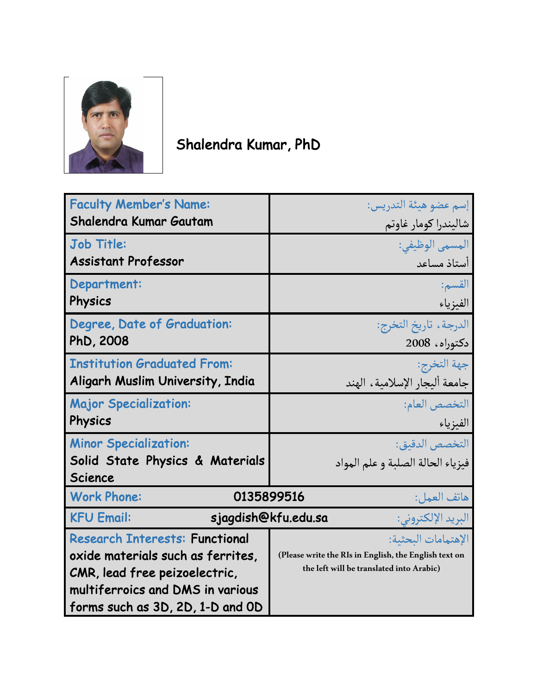

## Shalendra Kumar, PhD

| <b>Faculty Member's Name:</b>                   | إسم عضو هيئة التدريس:                                 |
|-------------------------------------------------|-------------------------------------------------------|
| Shalendra Kumar Gautam                          | شاليندرا كومار غاوتم                                  |
| <b>Job Title:</b>                               | المسمى الوظيفي:                                       |
| <b>Assistant Professor</b>                      | أستاذ مساعد                                           |
| Department:                                     | القسم:                                                |
| Physics                                         | الفيزياء                                              |
| Degree, Date of Graduation:                     | الدرجة ، تاريخ التخرج:                                |
| PhD, 2008                                       | دكتوراه، 2008                                         |
| <b>Institution Graduated From:</b>              | جهة التخرج:                                           |
| Aligarh Muslim University, India                | جامعة أليجار الإسلامية، الهند                         |
| <b>Major Specialization:</b>                    | التخصص العام:                                         |
| Physics                                         | الفيزياء                                              |
| <b>Minor Specialization:</b>                    | التخصص الدقيق:                                        |
| Solid State Physics & Materials                 | فيزياء الحالة الصلبة و علم المواد                     |
| <b>Science</b>                                  |                                                       |
| <b>Work Phone:</b><br>0135899516<br>هاتف العمل: |                                                       |
| <b>KFU Email:</b><br>sjagdish@kfu.edu.sa        | البريد الإلكتروني:                                    |
| <b>Research Interests: Functional</b>           | الإهتمامات البحثية:                                   |
| oxide materials such as ferrites,               | (Please write the RIs in English, the English text on |
| CMR, lead free peizoelectric,                   | the left will be translated into Arabic)              |
| multiferroics and DMS in various                |                                                       |
| forms such as 3D, 2D, 1-D and OD                |                                                       |